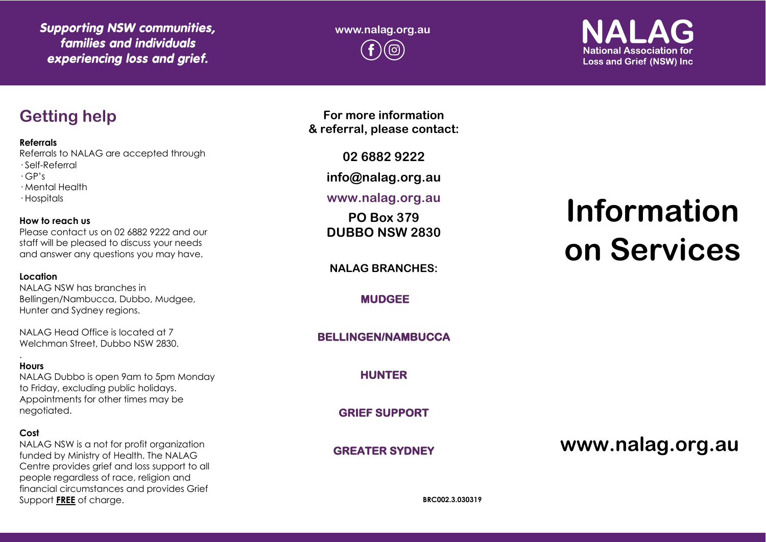*Supporting NSW communities,*  **www.nalag.org.au**  *families and individuals experiencing loss and grief.*

**National Association for Loss and Grief (NSW) Inc.** 

### **Getting help**

**Referrals**

Referrals to NALAG are accepted through · Self-Referral

· GP's

· Mental Health

· Hospitals

### **How to reach us**

Please contact us on 02 6882 9222 and our staff will be pleased to discuss your needs and answer any questions you may have.

### **Location**

NALAG NSW has branches in Bellingen/Nambucca, Dubbo, Mudgee, Hunter and Sydney regions.

NALAG Head Office is located at 7 Welchman Street, Dubbo NSW 2830.

#### . **Hours**

NALAG Dubbo is open 9am to 5pm Monday to Friday, excluding public holidays. Appointments for other times may be negotiated.

### **Cost**

NALAG NSW is a not for profit organization funded by Ministry of Health. The NALAG Centre provides grief and loss support to all people regardless of race, religion and financial circumstances and provides Grief Support **FREE** of charge.

**For more information & referral, please contact:**

**02 6882 9222**

**info@nalag.org.au**

### **www.nalag.org.au**

**PO Box 379 DUBBO NSW 2830**

**NALAG BRANCHES:**

**MUDGEE** 

**BELLINGEN/NAMBUCCA** 

**HUNTER** 

**GRIEF SUPPORT** 

**GREATER SYDNEY** 

# **Information on Services**

### **www.nalag.org.au**

**BRC002.3.030319**